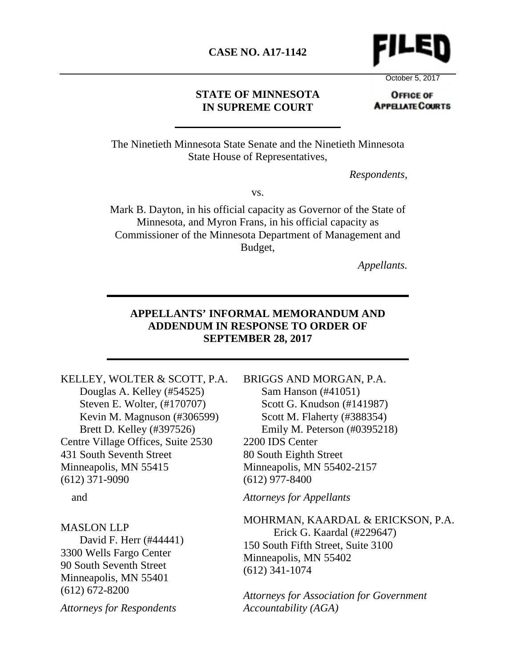

October 5, 2017

# **STATE OF MINNESOTA IN SUPREME COURT**

#### **OFFICE OF APPELATE COURTS**

The Ninetieth Minnesota State Senate and the Ninetieth Minnesota State House of Representatives,

*Respondents,*

vs.

Mark B. Dayton, in his official capacity as Governor of the State of Minnesota, and Myron Frans, in his official capacity as Commissioner of the Minnesota Department of Management and Budget,

*Appellants.*

# **APPELLANTS' INFORMAL MEMORANDUM AND ADDENDUM IN RESPONSE TO ORDER OF SEPTEMBER 28, 2017**

KELLEY, WOLTER & SCOTT, P.A. Douglas A. Kelley (#54525) Steven E. Wolter, (#170707) Kevin M. Magnuson (#306599) Brett D. Kelley (#397526) Centre Village Offices, Suite 2530 431 South Seventh Street Minneapolis, MN 55415 (612) 371-9090

and

MASLON LLP David F. Herr (#44441) 3300 Wells Fargo Center 90 South Seventh Street Minneapolis, MN 55401 (612) 672-8200

*Attorneys for Respondents* 

BRIGGS AND MORGAN, P.A. Sam Hanson (#41051) Scott G. Knudson (#141987) Scott M. Flaherty (#388354) Emily M. Peterson (#0395218) 2200 IDS Center 80 South Eighth Street Minneapolis, MN 55402-2157 (612) 977-8400

*Attorneys for Appellants* 

MOHRMAN, KAARDAL & ERICKSON, P.A. Erick G. Kaardal (#229647) 150 South Fifth Street, Suite 3100 Minneapolis, MN 55402 (612) 341-1074

*Attorneys for Association for Government Accountability (AGA)*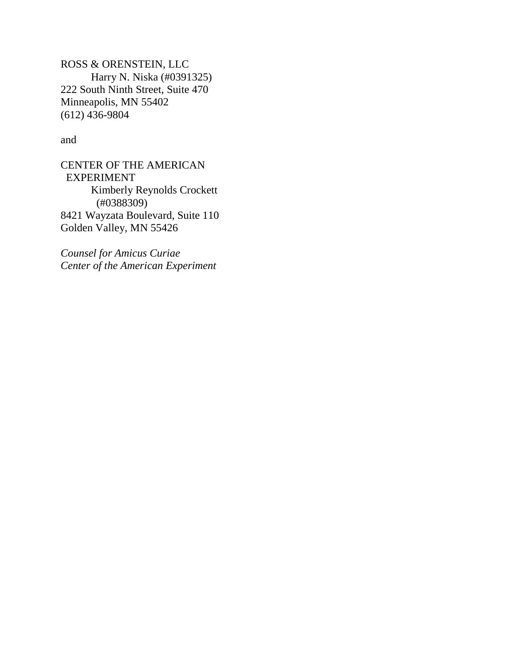ROSS & ORENSTEIN, LLC Harry N. Niska (#0391325) 222 South Ninth Street, Suite 470 Minneapolis, MN 55402 (612) 436-9804

and

CENTER OF THE AMERICAN EXPERIMENT Kimberly Reynolds Crockett (#0388309) 8421 Wayzata Boulevard, Suite 110 Golden Valley, MN 55426

*Counsel for Amicus Curiae Center of the American Experiment*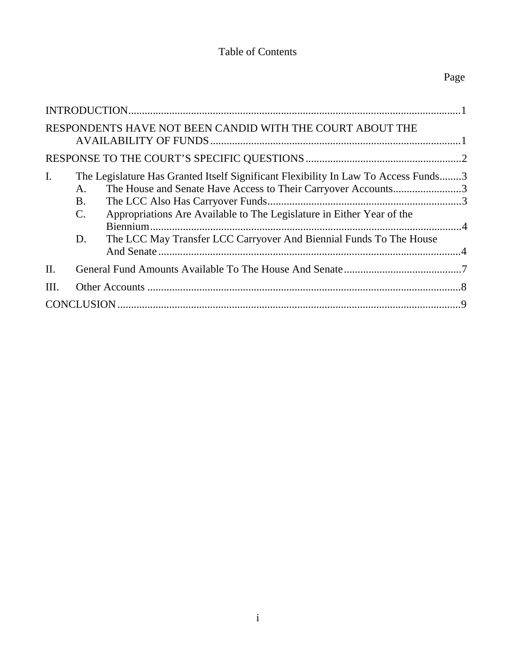# Table of Contents

# Page

| RESPONDENTS HAVE NOT BEEN CANDID WITH THE COURT ABOUT THE                                            |
|------------------------------------------------------------------------------------------------------|
|                                                                                                      |
| $\mathbf{I}$ .<br>The Legislature Has Granted Itself Significant Flexibility In Law To Access Funds3 |
| The House and Senate Have Access to Their Carryover Accounts3<br>A.                                  |
| <b>B.</b>                                                                                            |
| Appropriations Are Available to The Legislature in Either Year of the<br>$\mathbf{C}$ .              |
| The LCC May Transfer LCC Carryover And Biennial Funds To The House<br>D.                             |
| $\prod$ .                                                                                            |
| III.                                                                                                 |
|                                                                                                      |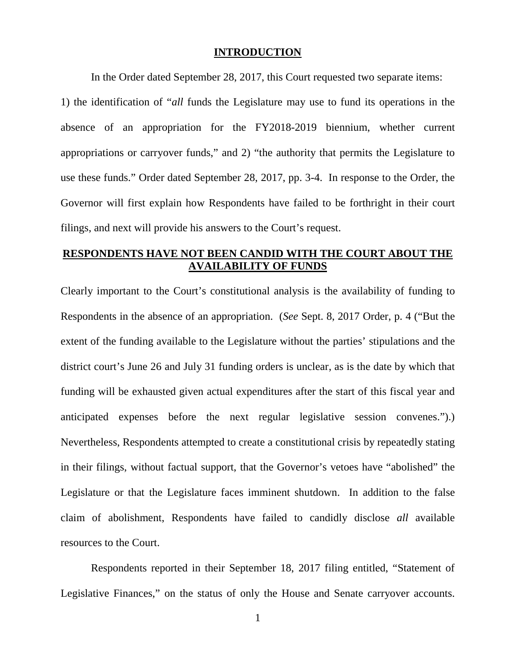#### **INTRODUCTION**

In the Order dated September 28, 2017, this Court requested two separate items:

1) the identification of "*all* funds the Legislature may use to fund its operations in the absence of an appropriation for the FY2018-2019 biennium, whether current appropriations or carryover funds," and 2) "the authority that permits the Legislature to use these funds." Order dated September 28, 2017, pp. 3-4. In response to the Order, the Governor will first explain how Respondents have failed to be forthright in their court filings, and next will provide his answers to the Court's request.

# **RESPONDENTS HAVE NOT BEEN CANDID WITH THE COURT ABOUT THE AVAILABILITY OF FUNDS**

Clearly important to the Court's constitutional analysis is the availability of funding to Respondents in the absence of an appropriation. (*See* Sept. 8, 2017 Order, p. 4 ("But the extent of the funding available to the Legislature without the parties' stipulations and the district court's June 26 and July 31 funding orders is unclear, as is the date by which that funding will be exhausted given actual expenditures after the start of this fiscal year and anticipated expenses before the next regular legislative session convenes.").) Nevertheless, Respondents attempted to create a constitutional crisis by repeatedly stating in their filings, without factual support, that the Governor's vetoes have "abolished" the Legislature or that the Legislature faces imminent shutdown. In addition to the false claim of abolishment, Respondents have failed to candidly disclose *all* available resources to the Court.

Respondents reported in their September 18, 2017 filing entitled, "Statement of Legislative Finances," on the status of only the House and Senate carryover accounts.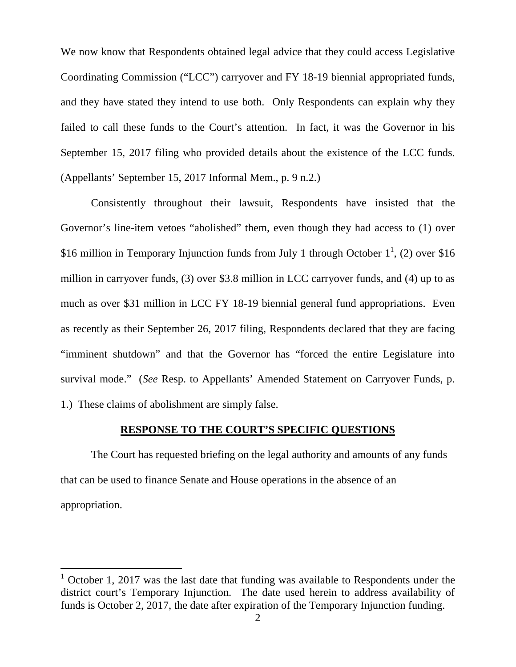We now know that Respondents obtained legal advice that they could access Legislative Coordinating Commission ("LCC") carryover and FY 18-19 biennial appropriated funds, and they have stated they intend to use both. Only Respondents can explain why they failed to call these funds to the Court's attention. In fact, it was the Governor in his September 15, 2017 filing who provided details about the existence of the LCC funds. (Appellants' September 15, 2017 Informal Mem., p. 9 n.2.)

Consistently throughout their lawsuit, Respondents have insisted that the Governor's line-item vetoes "abolished" them, even though they had access to (1) over \$16 million in Temporary Injunction funds from July 1 through October  $1^1$ [,](#page-4-0) (2) over \$16 million in carryover funds, (3) over \$3.8 million in LCC carryover funds, and (4) up to as much as over \$31 million in LCC FY 18-19 biennial general fund appropriations. Even as recently as their September 26, 2017 filing, Respondents declared that they are facing "imminent shutdown" and that the Governor has "forced the entire Legislature into survival mode." (*See* Resp. to Appellants' Amended Statement on Carryover Funds, p. 1.) These claims of abolishment are simply false.

### **RESPONSE TO THE COURT'S SPECIFIC QUESTIONS**

The Court has requested briefing on the legal authority and amounts of any funds that can be used to finance Senate and House operations in the absence of an appropriation.

<span id="page-4-0"></span><sup>1</sup> October 1, 2017 was the last date that funding was available to Respondents under the district court's Temporary Injunction. The date used herein to address availability of funds is October 2, 2017, the date after expiration of the Temporary Injunction funding.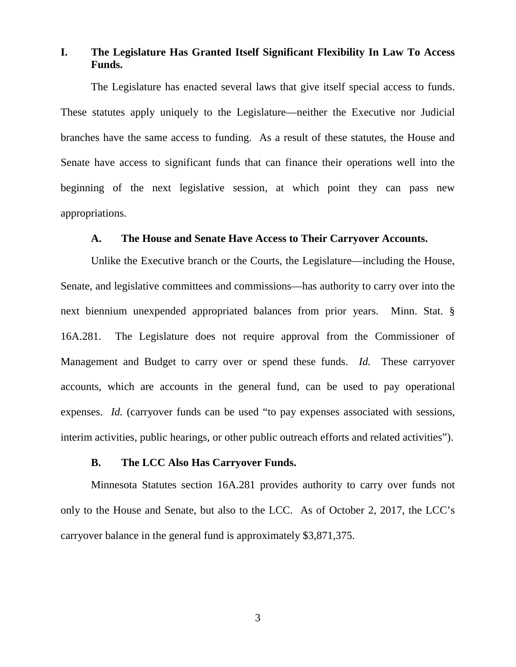# **I. The Legislature Has Granted Itself Significant Flexibility In Law To Access Funds.**

The Legislature has enacted several laws that give itself special access to funds. These statutes apply uniquely to the Legislature—neither the Executive nor Judicial branches have the same access to funding. As a result of these statutes, the House and Senate have access to significant funds that can finance their operations well into the beginning of the next legislative session, at which point they can pass new appropriations.

# **A. The House and Senate Have Access to Their Carryover Accounts.**

Unlike the Executive branch or the Courts, the Legislature—including the House, Senate, and legislative committees and commissions—has authority to carry over into the next biennium unexpended appropriated balances from prior years. Minn. Stat. § 16A.281. The Legislature does not require approval from the Commissioner of Management and Budget to carry over or spend these funds. *Id.* These carryover accounts, which are accounts in the general fund, can be used to pay operational expenses. *Id.* (carryover funds can be used "to pay expenses associated with sessions, interim activities, public hearings, or other public outreach efforts and related activities").

### **B. The LCC Also Has Carryover Funds.**

Minnesota Statutes section 16A.281 provides authority to carry over funds not only to the House and Senate, but also to the LCC. As of October 2, 2017, the LCC's carryover balance in the general fund is approximately \$3,871,375.

3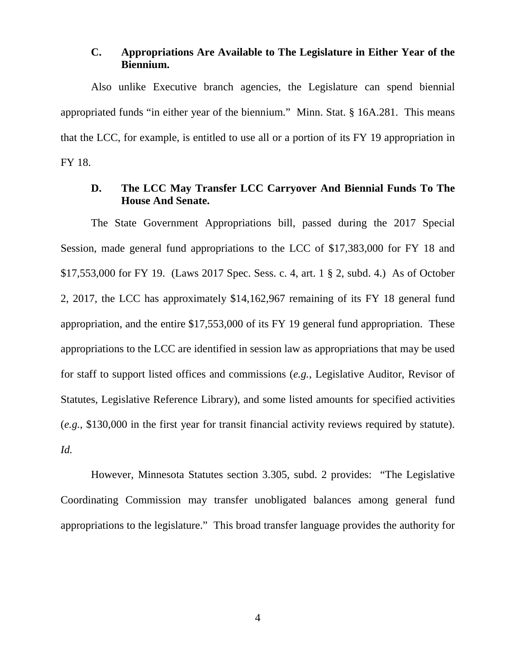# **C. Appropriations Are Available to The Legislature in Either Year of the Biennium.**

Also unlike Executive branch agencies, the Legislature can spend biennial appropriated funds "in either year of the biennium." Minn. Stat. § 16A.281. This means that the LCC, for example, is entitled to use all or a portion of its FY 19 appropriation in FY 18.

# **D. The LCC May Transfer LCC Carryover And Biennial Funds To The House And Senate.**

The State Government Appropriations bill, passed during the 2017 Special Session, made general fund appropriations to the LCC of \$17,383,000 for FY 18 and \$17,553,000 for FY 19. (Laws 2017 Spec. Sess. c. 4, art. 1 § 2, subd. 4.) As of October 2, 2017, the LCC has approximately \$14,162,967 remaining of its FY 18 general fund appropriation, and the entire \$17,553,000 of its FY 19 general fund appropriation. These appropriations to the LCC are identified in session law as appropriations that may be used for staff to support listed offices and commissions (*e.g.*, Legislative Auditor, Revisor of Statutes, Legislative Reference Library), and some listed amounts for specified activities (*e.g.*, \$130,000 in the first year for transit financial activity reviews required by statute). *Id.*

However, Minnesota Statutes section 3.305, subd. 2 provides: "The Legislative Coordinating Commission may transfer unobligated balances among general fund appropriations to the legislature." This broad transfer language provides the authority for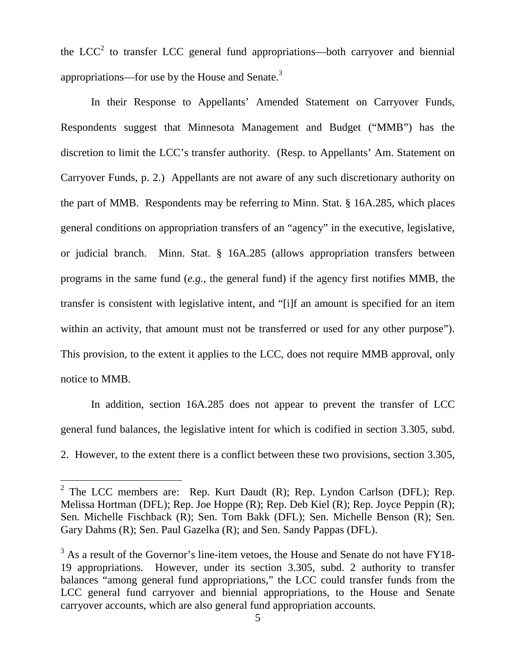the  $LCC<sup>2</sup>$  $LCC<sup>2</sup>$  $LCC<sup>2</sup>$  to transfer LCC general fund appropriations—both carryover and biennial appropriations—for use by the House and Senate.<sup>3</sup>

In their Response to Appellants' Amended Statement on Carryover Funds, Respondents suggest that Minnesota Management and Budget ("MMB") has the discretion to limit the LCC's transfer authority. (Resp. to Appellants' Am. Statement on Carryover Funds, p. 2.) Appellants are not aware of any such discretionary authority on the part of MMB. Respondents may be referring to Minn. Stat. § 16A.285, which places general conditions on appropriation transfers of an "agency" in the executive, legislative, or judicial branch. Minn. Stat. § 16A.285 (allows appropriation transfers between programs in the same fund (*e.g.,* the general fund) if the agency first notifies MMB, the transfer is consistent with legislative intent, and "[i]f an amount is specified for an item within an activity, that amount must not be transferred or used for any other purpose"). This provision, to the extent it applies to the LCC, does not require MMB approval, only notice to MMB.

In addition, section 16A.285 does not appear to prevent the transfer of LCC general fund balances, the legislative intent for which is codified in section 3.305, subd. 2. However, to the extent there is a conflict between these two provisions, section 3.305,

<span id="page-7-0"></span><sup>&</sup>lt;sup>2</sup> The LCC members are: Rep. Kurt Daudt (R); Rep. Lyndon Carlson (DFL); Rep. Melissa Hortman (DFL); Rep. Joe Hoppe (R); Rep. Deb Kiel (R); Rep. Joyce Peppin (R); Sen. Michelle Fischback (R); Sen. Tom Bakk (DFL); Sen. Michelle Benson (R); Sen. Gary Dahms (R); Sen. Paul Gazelka (R); and Sen. Sandy Pappas (DFL).

 $3$  As a result of the Governor's line-item vetoes, the House and Senate do not have FY18-19 appropriations. However, under its section 3.305, subd. 2 authority to transfer balances "among general fund appropriations," the LCC could transfer funds from the LCC general fund carryover and biennial appropriations, to the House and Senate carryover accounts, which are also general fund appropriation accounts.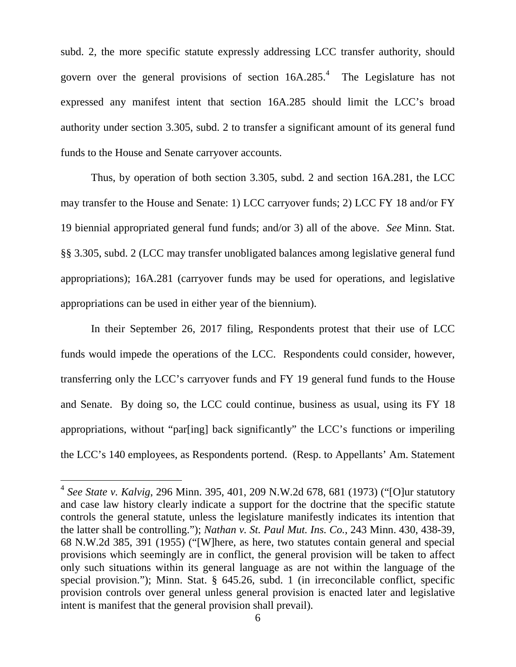subd. 2, the more specific statute expressly addressing LCC transfer authority, should governover the general provisions of section  $16A.285<sup>4</sup>$ . The Legislature has not expressed any manifest intent that section 16A.285 should limit the LCC's broad authority under section 3.305, subd. 2 to transfer a significant amount of its general fund funds to the House and Senate carryover accounts.

Thus, by operation of both section 3.305, subd. 2 and section 16A.281, the LCC may transfer to the House and Senate: 1) LCC carryover funds; 2) LCC FY 18 and/or FY 19 biennial appropriated general fund funds; and/or 3) all of the above. *See* Minn. Stat. §§ 3.305, subd. 2 (LCC may transfer unobligated balances among legislative general fund appropriations); 16A.281 (carryover funds may be used for operations, and legislative appropriations can be used in either year of the biennium).

In their September 26, 2017 filing, Respondents protest that their use of LCC funds would impede the operations of the LCC. Respondents could consider, however, transferring only the LCC's carryover funds and FY 19 general fund funds to the House and Senate. By doing so, the LCC could continue, business as usual, using its FY 18 appropriations, without "par[ing] back significantly" the LCC's functions or imperiling the LCC's 140 employees, as Respondents portend. (Resp. to Appellants' Am. Statement

<span id="page-8-0"></span><sup>4</sup> *See State v. Kalvig*, 296 Minn. 395, 401, 209 N.W.2d 678, 681 (1973) ("[O]ur statutory and case law history clearly indicate a support for the doctrine that the specific statute controls the general statute, unless the legislature manifestly indicates its intention that the latter shall be controlling."); *Nathan v. St. Paul Mut. Ins. Co.*, 243 Minn. 430, 438-39, 68 N.W.2d 385, 391 (1955) ("[W]here, as here, two statutes contain general and special provisions which seemingly are in conflict, the general provision will be taken to affect only such situations within its general language as are not within the language of the special provision."); Minn. Stat. § 645.26, subd. 1 (in irreconcilable conflict, specific provision controls over general unless general provision is enacted later and legislative intent is manifest that the general provision shall prevail).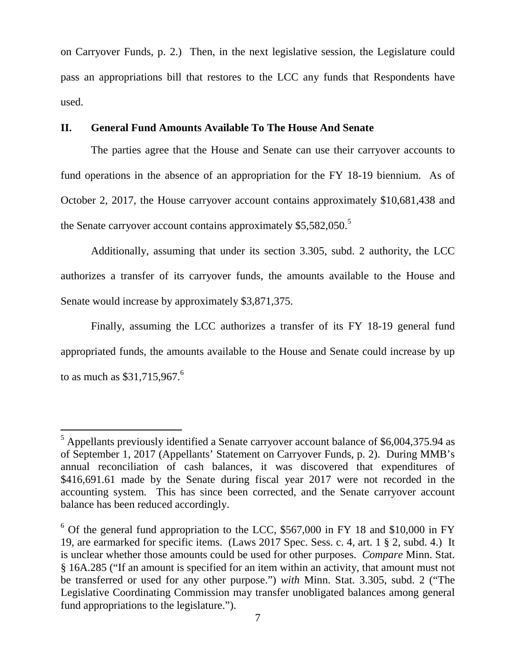on Carryover Funds, p. 2.) Then, in the next legislative session, the Legislature could pass an appropriations bill that restores to the LCC any funds that Respondents have used.

### **II. General Fund Amounts Available To The House And Senate**

The parties agree that the House and Senate can use their carryover accounts to fund operations in the absence of an appropriation for the FY 18-19 biennium. As of October 2, 2017, the House carryover account contains approximately \$10,681,438 and the Senate carryover account contains approximately \$5,582,050.<sup>5</sup>

Additionally, assuming that under its section 3.305, subd. 2 authority, the LCC authorizes a transfer of its carryover funds, the amounts available to the House and Senate would increase by approximately \$3,871,375.

Finally, assuming the LCC authorizes a transfer of its FY 18-19 general fund appropriated funds, the amounts available to the House and Senate could increase by up to as much as  $$31,715,967$  $$31,715,967$  $$31,715,967$ .<sup>6</sup>

<sup>&</sup>lt;sup>5</sup> Appellants previously identified a Senate carryover account balance of \$6,004,375.94 as of September 1, 2017 (Appellants' Statement on Carryover Funds, p. 2). During MMB's annual reconciliation of cash balances, it was discovered that expenditures of \$416,691.61 made by the Senate during fiscal year 2017 were not recorded in the accounting system. This has since been corrected, and the Senate carryover account balance has been reduced accordingly.

<span id="page-9-0"></span> $6$  Of the general fund appropriation to the LCC, \$567,000 in FY 18 and \$10,000 in FY 19, are earmarked for specific items. (Laws 2017 Spec. Sess. c. 4, art. 1 § 2, subd. 4.) It is unclear whether those amounts could be used for other purposes. *Compare* Minn. Stat. § 16A.285 ("If an amount is specified for an item within an activity, that amount must not be transferred or used for any other purpose.") *with* Minn. Stat. 3.305, subd. 2 ("The Legislative Coordinating Commission may transfer unobligated balances among general fund appropriations to the legislature.").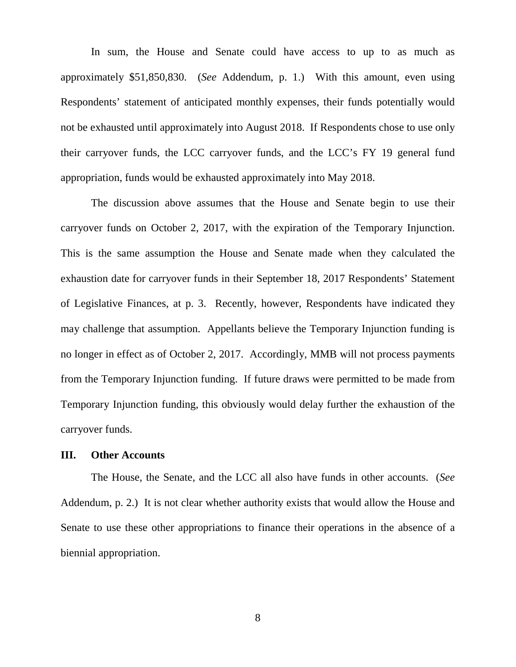In sum, the House and Senate could have access to up to as much as approximately \$51,850,830. (*See* Addendum, p. 1.) With this amount, even using Respondents' statement of anticipated monthly expenses, their funds potentially would not be exhausted until approximately into August 2018. If Respondents chose to use only their carryover funds, the LCC carryover funds, and the LCC's FY 19 general fund appropriation, funds would be exhausted approximately into May 2018.

The discussion above assumes that the House and Senate begin to use their carryover funds on October 2, 2017, with the expiration of the Temporary Injunction. This is the same assumption the House and Senate made when they calculated the exhaustion date for carryover funds in their September 18, 2017 Respondents' Statement of Legislative Finances, at p. 3. Recently, however, Respondents have indicated they may challenge that assumption. Appellants believe the Temporary Injunction funding is no longer in effect as of October 2, 2017. Accordingly, MMB will not process payments from the Temporary Injunction funding. If future draws were permitted to be made from Temporary Injunction funding, this obviously would delay further the exhaustion of the carryover funds.

#### **III. Other Accounts**

The House, the Senate, and the LCC all also have funds in other accounts. (*See* Addendum, p. 2.) It is not clear whether authority exists that would allow the House and Senate to use these other appropriations to finance their operations in the absence of a biennial appropriation.